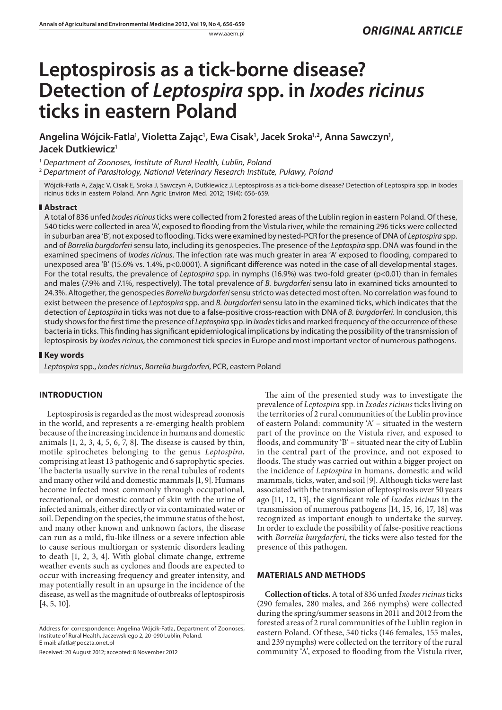# **Leptospirosis as a tick-borne disease? Detection of** *Leptospira* **spp. in** *Ixodes ricinus* **ticks in eastern Poland**

Angelina Wójcik-Fatla', Violetta Zając', Ewa Cisak', Jacek Sroka'<sup>,2</sup>, Anna Sawczyn', **Jacek Dutkiewicz1**

<sup>1</sup> *Department of Zoonoses, Institute of Rural Health, Lublin, Poland*

<sup>2</sup> *Department of Parasitology, National Veterinary Research Institute, Puławy, Poland*

Wójcik-Fatla A, Zając V, Cisak E, Sroka J, Sawczyn A, Dutkiewicz J. Leptospirosis as a tick-borne disease? Detection of Leptospira spp. in Ixodes ricinus ticks in eastern Poland. Ann Agric Environ Med. 2012; 19(4): 656-659.

### **Abstract**

A total of 836 unfed *Ixodes ricinus* ticks were collected from 2 forested areas of the Lublin region in eastern Poland. Of these, 540 ticks were collected in area 'A', exposed to flooding from the Vistula river, while the remaining 296 ticks were collected in suburban area 'B', not exposed to flooding. Ticks were examined by nested-PCR for the presence of DNA of *Leptospira* spp. and of *Borrelia burgdorferi* sensu lato, including its genospecies. The presence of the *Leptospira* spp. DNA was found in the examined specimens of *Ixodes ricinus*. The infection rate was much greater in area 'A' exposed to flooding, compared to unexposed area 'B' (15.6% vs. 1.4%, p<0.0001). A significant difference was noted in the case of all developmental stages. For the total results, the prevalence of *Leptospira* spp. in nymphs (16.9%) was two-fold greater (p<0.01) than in females and males (7.9% and 7.1%, respectively). The total prevalence of *B. burgdorferi* sensu lato in examined ticks amounted to 24.3%. Altogether, the genospecies *Borrelia burgdorferi* sensu stricto was detected most often. No correlation was found to exist between the presence of *Leptospira* spp. and *B. burgdorferi* sensu lato in the examined ticks, which indicates that the detection of *Leptospira* in ticks was not due to a false-positive cross-reaction with DNA of *B. burgdorferi*. In conclusion, this study shows for the first time the presence of *Leptospira* spp. in *Ixodes* ticks and marked frequency of the occurrence of these bacteria in ticks. This finding has significant epidemiological implications by indicating the possibility of the transmission of leptospirosis by *Ixodes ricinus,* the commonest tick species in Europe and most important vector of numerous pathogens.

# **Key words**

*Leptospira* spp., *Ixodes ricinus*, *Borrelia burgdorferi*, PCR, eastern Poland

## **INTRODUCTION**

Leptospirosis is regarded as the most widespread zoonosis in the world, and represents a re-emerging health problem because of the increasing incidence in humans and domestic animals  $[1, 2, 3, 4, 5, 6, 7, 8]$ . The disease is caused by thin, motile spirochetes belonging to the genus *Leptospira*, comprising at least 13 pathogenic and 6 saprophytic species. The bacteria usually survive in the renal tubules of rodents and many other wild and domestic mammals [1, 9]. Humans become infected most commonly through occupational, recreational, or domestic contact of skin with the urine of infected animals, either directly or via contaminated water or soil. Depending on the species, the immune status of the host, and many other known and unknown factors, the disease can run as a mild, flu-like illness or a severe infection able to cause serious multiorgan or systemic disorders leading to death [1, 2, 3, 4]. With global climate change, extreme weather events such as cyclones and floods are expected to occur with increasing frequency and greater intensity, and may potentially result in an upsurge in the incidence of the disease, as well as the magnitude of outbreaks of leptospirosis [4, 5, 10].

Received: 20 August 2012; accepted: 8 November 2012

The aim of the presented study was to investigate the prevalence of *Leptospira* spp. in *Ixodes ricinus* ticks living on the territories of 2 rural communities of the Lublin province of eastern Poland: community 'A' – situated in the western part of the province on the Vistula river, and exposed to floods, and community 'B' – situated near the city of Lublin in the central part of the province, and not exposed to floods. The study was carried out within a bigger project on the incidence of *Leptospira* in humans, domestic and wild mammals, ticks, water, and soil [9]. Although ticks were last associated with the transmission of leptospirosis over 50 years ago [11, 12, 13], the signicant role of *Ixodes ricinus* in the transmission of numerous pathogens [14, 15, 16, 17, 18] was recognized as important enough to undertake the survey. In order to exclude the possibility of false-positive reactions with *Borrelia burgdorferi*, the ticks were also tested for the presence of this pathogen.

## **MATERIALS AND METHODS**

**Collection of ticks.** A total of 836 unfed *Ixodes ricinus* ticks (290 females, 280 males, and 266 nymphs) were collected during the spring/summer seasons in 2011 and 2012 from the forested areas of 2 rural communities of the Lublin region in eastern Poland. Of these, 540 ticks (146 females, 155 males, and 239 nymphs) were collected on the territory of the rural community 'A', exposed to flooding from the Vistula river,

Address for correspondence: Angelina Wójcik-Fatla, Department of Zoonoses, Institute of Rural Health, Jaczewskiego 2, 20-090 Lublin, Poland. E-mail: afatla@poczta.onet.pl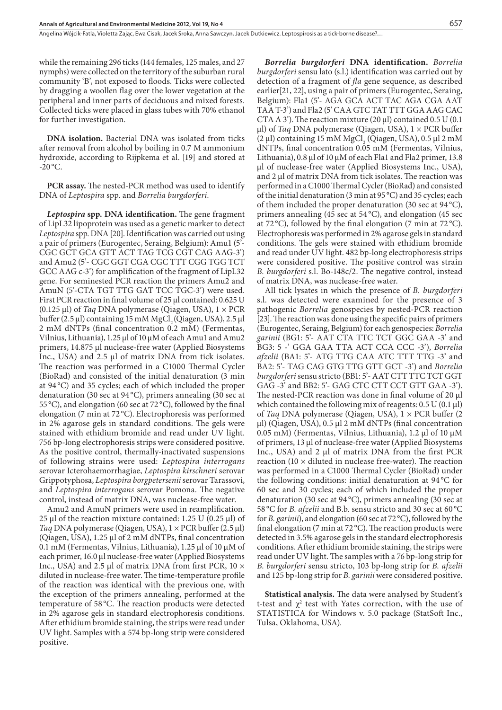Angelina Wójcik-Fatla, Violetta Zając, Ewa Cisak, Jacek Sroka, Anna Sawczyn, Jacek Dutkiewicz. Leptospirosis as a tick-borne disease?…

while the remaining 296 ticks (144 females, 125 males, and 27 nymphs) were collected on the territory of the suburban rural community 'B', not exposed to floods. Ticks were collected by dragging a woollen flag over the lower vegetation at the peripheral and inner parts of deciduous and mixed forests. Collected ticks were placed in glass tubes with 70% ethanol for further investigation.

**DNA isolation.** Bacterial DNA was isolated from ticks after removal from alcohol by boiling in 0.7 M ammonium hydroxide, according to Rijpkema et al. [19] and stored at  $-20$  °C.

**PCR assay.** The nested-PCR method was used to identify DNA of *Leptospira* spp. and *Borrelia burgdorferi.*

**Leptospira spp. DNA identification.** The gene fragment of LipL32 lipoprotein was used as a genetic marker to detect Leptospira spp. DNA [20]. Identification was carried out using a pair of primers (Eurogentec, Seraing, Belgium): Amu1 (5'- CGC GCT GCA GTT ACT TAG TCG CGT CAG AAG-3') and Amu2 (5'- CGC GGT CGA CGC TTT CGG TGG TCT GCC AAG  $c-3$ ') for amplification of the fragment of LipL32 gene. For seminested PCR reaction the primers Amu2 and AmuN (5'-CTA TGT TTG GAT TCC TGC-3') were used. First PCR reaction in final volume of 25 µl contained: 0.625 U (0.125 µl) of *Taq* DNA polymerase (Qiagen, USA), 1 × PCR buffer (2.5  $\mu$ l) containing 15 mM MgCl<sub>2</sub> (Qiagen, USA), 2.5  $\mu$ l 2 mM dNTPs (final concentration 0.2 mM) (Fermentas, Vilnius, Lithuania), 1.25 μl of 10 μM of each Amu1 and Amu2 primers, 14.875 μl nuclease-free water (Applied Biosystems Inc., USA) and 2.5 μl of matrix DNA from tick isolates. The reaction was performed in a C1000 Thermal Cycler (BioRad) and consisted of the initial denaturation (3 min at 94 °C) and 35 cycles; each of which included the proper denaturation (30 sec at 94 °C), primers annealing (30 sec at 55 °C), and elongation (60 sec at 72 °C), followed by the final elongation (7 min at 72 °C). Electrophoresis was performed in 2% agarose gels in standard conditions. The gels were stained with ethidium bromide and read under UV light. 756 bp-long electrophoresis strips were considered positive. As the positive control, thermally-inactivated suspensions of following strains were used: *Leptospira interrogans*  serovar Icterohaemorrhagiae, *Leptospira kirschneri* serovar Grippotyphosa, *Leptospira borgpetersenii* serovar Tarassovi, and *Leptospira interrogans* serovar Pomona. The negative control, instead of matrix DNA, was nuclease-free water.

Amu2 and AmuN primers were used in reamplication. 25 µl of the reaction mixture contained: 1.25 U (0.25 µl) of *Taq* DNA polymerase (Qiagen, USA),  $1 \times PCR$  buffer (2.5 µl) (Qiagen, USA), 1.25 μl of 2 mM dNTPs, final concentration 0.1 mM (Fermentas, Vilnius, Lithuania), 1.25 μl of 10 μM of each primer, 16.0 μl nuclease-free water (Applied Biosystems Inc., USA) and 2.5 μl of matrix DNA from first PCR,  $10 \times$ diluted in nuclease-free water. The time-temperature profile of the reaction was identical with the previous one, with the exception of the primers annealing, performed at the temperature of 58 °C. The reaction products were detected in 2% agarose gels in standard electrophoresis conditions. After ethidium bromide staining, the strips were read under UV light. Samples with a 574 bp-long strip were considered positive.

*Borrelia burgdorferi* **DNA identication.** *Borrelia burgdorferi* sensu lato (s.l.) identification was carried out by detection of a fragment of *fla* gene sequence, as described earlier[21, 22], using a pair of primers (Eurogentec, Seraing, Belgium): Fla1 (5'- AGA GCA ACT TAC AGA CGA AAT TAA T-3') and Fla2 (5' CAA GTC TAT TTT GGA AAG CAC CTA A 3'). The reaction mixture (20  $\mu$ l) contained 0.5 U (0.1)  $\mu$ l) of *Taq* DNA polymerase (Qiagen, USA),  $1 \times PCR$  buffer (2 μl) containing 15 mM MgCl<sub>2</sub> (Qiagen, USA), 0.5 μl 2 mM dNTPs, final concentration 0.05 mM (Fermentas, Vilnius, Lithuania), 0.8 μl of 10 μM of each Fla1 and Fla2 primer, 13.8 μl of nuclease-free water (Applied Biosystems Inc., USA), and 2 μl of matrix DNA from tick isolates. The reaction was performed in a C1000 Thermal Cycler (BioRad) and consisted of the initial denaturation (3 min at 95 °C) and 35 cycles; each of them included the proper denaturation (30 sec at 94 °C), primers annealing (45 sec at 54 °C), and elongation (45 sec at 72 $^{\circ}$ C), followed by the final elongation (7 min at 72 $^{\circ}$ C). Electrophoresis was performed in 2% agarose gels in standard conditions. The gels were stained with ethidium bromide and read under UV light. 482 bp-long electrophoresis strips were considered positive. The positive control was strain *B. burgdorferi s.l. Bo-148c/2. The negative control, instead* of matrix DNA, was nuclease-free water.

All tick lysates in which the presence of *B. burgdorferi*  s.l. was detected were examined for the presence of 3 pathogenic *Borrelia* genospecies by nested-PCR reaction [23]. The reaction was done using the specific pairs of primers (Eurogentec, Seraing, Belgium) for each genospecies: *Borrelia garinii* (BG1: 5'- AAT CTA TTC TCT GGC GAA -3' and BG3: 5 -' GGA GAA TTA ACT CCA CCC -3'), *Borrelia afzelii* (BA1: 5'- ATG TTG CAA ATC TTT TTG -3' and BA2: 5'- TAG CAG GTG TTG GTT GCT -3') and *Borrelia burgdorferi* sensu stricto (BB1: 5'- AAT CTT TTC TCT GGT GAG -3' and BB2: 5'- GAG CTC CTT CCT GTT GAA -3'). The nested-PCR reaction was done in final volume of 20  $\mu$ l which contained the following mix of reagents:  $0.5 \text{ U } (0.1 \text{ \mu l})$ of *Taq* DNA polymerase (Qiagen, USA),  $1 \times PCR$  buffer (2 µl) (Qiagen, USA), 0.5 μl 2 mM dNTPs (final concentration 0.05 mM) (Fermentas, Vilnius, Lithuania), 1.2 μl of 10 μM of primers, 13 μl of nuclease-free water (Applied Biosystems Inc., USA) and  $2$  μl of matrix DNA from the first PCR reaction (10  $\times$  diluted in nuclease free-water). The reaction was performed in a C1000 Thermal Cycler (BioRad) under the following conditions: initial denaturation at 94 °C for 60 sec and 30 cycles; each of which included the proper denaturation (30 sec at 94 °C), primers annealing (30 sec at 58 °C for *B. afzelii* and B.b. sensu stricto and 30 sec at 60 °C for *B. garinii*), and elongation (60 sec at 72°C), followed by the final elongation (7 min at 72 °C). The reaction products were detected in 3.5% agarose gels in the standard electrophoresis conditions. After ethidium bromide staining, the strips were read under UV light. The samples with a 76 bp-long strip for *B. burgdorferi* sensu stricto, 103 bp-long strip for *B. afzelii* and 125 bp-long strip for *B. garinii* were considered positive.

**Statistical analysis.** The data were analysed by Student's t-test and  $\chi^2$  test with Yates correction, with the use of STATISTICA for Windows v. 5.0 package (StatSoft Inc., Tulsa, Oklahoma, USA).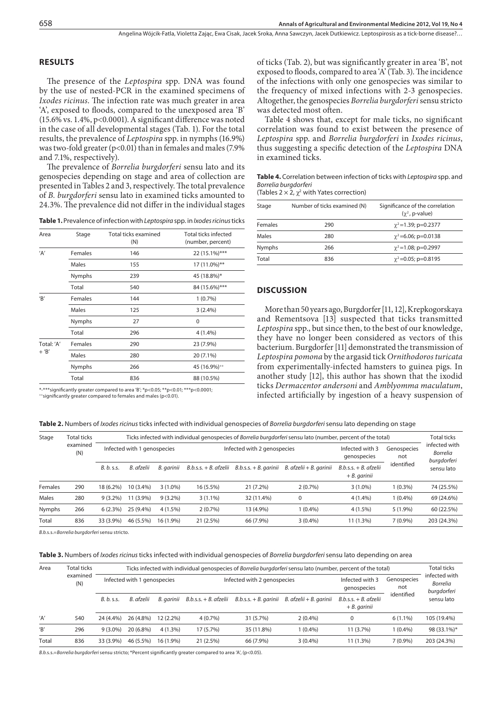# **RESULTS**

The presence of the *Leptospira* spp. DNA was found by the use of nested-PCR in the examined specimens of *Ixodes ricinus*. The infection rate was much greater in area 'A', exposed to floods, compared to the unexposed area 'B'  $(15.6\% \text{ vs. } 1.4\%, \text{ p} < 0.0001)$ . A significant difference was noted in the case of all developmental stages (Tab. 1). For the total results, the prevalence of *Leptospira* spp. in nymphs (16.9%) was two-fold greater (p<0.01) than in females and males (7.9% and 7.1%, respectively).

e prevalence of *Borrelia burgdorferi* sensu lato and its genospecies depending on stage and area of collection are presented in Tables 2 and 3, respectively. The total prevalence of *B. burgdorferi* sensu lato in examined ticks amounted to 24.3%. The prevalence did not differ in the individual stages

| Area       | Stage         | <b>Total ticks examined</b><br>(N) | Total ticks infected<br>(number, percent) |  |  |
|------------|---------------|------------------------------------|-------------------------------------------|--|--|
| 'A'        | Females       | 146                                | 22 (15.1%)***                             |  |  |
|            | Males         | 155                                | 17 (11.0%)**                              |  |  |
|            | Nymphs        | 239                                | 45 (18.8%)*                               |  |  |
|            | Total         | 540                                | 84 (15.6%)***                             |  |  |
| 'R'        | Females       | 144                                | 1(0.7%)                                   |  |  |
|            | Males         | 125                                | 3(2.4%)                                   |  |  |
|            | Nymphs        | 27                                 | 0                                         |  |  |
|            | Total         | 296                                | 4(1.4%)                                   |  |  |
| Total: 'A' | Females       | 290                                | 23 (7.9%)                                 |  |  |
| $+$ 'B'    | Males         | 280                                | 20 (7.1%)                                 |  |  |
|            | <b>Nymphs</b> | 266                                | 45 (16.9%)++                              |  |  |
|            | Total         | 836                                | 88 (10.5%)                                |  |  |
|            |               |                                    |                                           |  |  |

\*-\*\*\*significantly greater compared to area 'B'; \*p<0.05; \*\*p<0.01; \*\*\*p<0.0001;<br>\*\*significantly greater compared to females and males (p<0.01).

of ticks (Tab. 2), but was significantly greater in area 'B', not exposed to floods, compared to area  $A'$  (Tab. 3). The incidence of the infections with only one genospecies was similar to the frequency of mixed infections with 2-3 genospecies. Altogether, the genospecies *Borrelia burgdorferi* sensu stricto was detected most often.

Table 4 shows that, except for male ticks, no signicant correlation was found to exist between the presence of *Leptospira* spp. and *Borrelia burgdorferi* in *Ixodes ricinus*, thus suggesting a specific detection of the *Leptospira* DNA in examined ticks.

**Table 4.** Correlation between infection of ticks with *Leptospira* spp. and *Borrelia burgdorferi*

(Tables  $2 \times 2$ ,  $\chi^2$  with Yates correction)

| Stage   | Number of ticks examined (N) | Significance of the correlation<br>$(\gamma^2, p-value)$ |  |  |
|---------|------------------------------|----------------------------------------------------------|--|--|
| Females | 290                          | $\gamma^2$ = 1.39; p=0.2377                              |  |  |
| Males   | 280                          | $\gamma^2$ =6.06; p=0.0138                               |  |  |
| Nymphs  | 266                          | $\gamma^2$ = 1.08; p=0.2997                              |  |  |
| Total   | 836                          | $\gamma^2 = 0.05$ ; p=0.8195                             |  |  |
|         |                              |                                                          |  |  |

#### **DISCUSSION**

More than 50 years ago, Burgdorfer [11, 12], Krepkogorskaya and Rementsova [13] suspected that ticks transmitted *Leptospira* spp., but since then, to the best of our knowledge, they have no longer been considered as vectors of this bacterium. Burgdorfer [11] demonstrated the transmission of *Leptospira pomona* by the argasid tick *Ornithodoros turicata*  from experimentally-infected hamsters to guinea pigs. In another study [12], this author has shown that the ixodid ticks *Dermacentor andersoni* and *Amblyomma maculatum*, infected artificially by ingestion of a heavy suspension of

**Table 2.** Numbers of *Ixodes ricinus* ticks infected with individual genospecies of *Borrelia burgdorferi* sensu lato depending on stage

| Stage   | <b>Total ticks</b><br>examined<br>(N) | Ticks infected with individual genospecies of Borrelia burgdorferi sensu lato (number, percent of the total) |            |            |                         |                             |                                                   |                                           |                    |                                                 |
|---------|---------------------------------------|--------------------------------------------------------------------------------------------------------------|------------|------------|-------------------------|-----------------------------|---------------------------------------------------|-------------------------------------------|--------------------|-------------------------------------------------|
|         |                                       | Infected with 1 genospecies                                                                                  |            |            |                         | Infected with 2 genospecies |                                                   | Infected with 3<br>genospecies            | Genospecies<br>not | infected with<br><b>Borrelia</b><br>burgdorferi |
|         |                                       | B. b. s.s.                                                                                                   | B. afzelii | B. aarinii | $B.b.s.s. + B.$ afzelii |                             | $B.b.s.s. + B.$ garinii $B.$ afzelii + B. garinii | $B.b.s.s. + B.$ afzelii<br>$+ B. qarinii$ | identified         | sensu lato                                      |
| Females | 290                                   | 18 (6.2%)                                                                                                    | 10 (3.4%)  | $3(1.0\%)$ | 16 (5.5%)               | $21(7.2\%)$                 | $2(0.7\%)$                                        | $3(1.0\%)$                                | $(0.3\%)$          | 74 (25.5%)                                      |
| Males   | 280                                   | $9(3.2\%)$                                                                                                   | 11 (3.9%)  | $9(3.2\%)$ | $3(1.1\%)$              | 32 (11.4%)                  | 0                                                 | $4(1.4\%)$                                | $(0.4\%)$          | 69 (24.6%)                                      |
| Nymphs  | 266                                   | $6(2.3\%)$                                                                                                   | 25 (9.4%)  | $4(1.5\%)$ | $2(0.7\%)$              | 13 (4.9%)                   | $1(0.4\%)$                                        | $4(1.5\%)$                                | $5(1.9\%)$         | 60 (22.5%)                                      |
| Total   | 836                                   | 33 (3.9%)                                                                                                    | 46 (5.5%)  | 16 (1.9%)  | 21(2.5%)                | 66 (7.9%)                   | 3(0.4%)                                           | $11(1.3\%)$                               | $7(0.9\%)$         | 203 (24.3%)                                     |

*B.b.*s.s.=*Borrelia burgdorferi* sensu stricto.

**Table 3.** Numbers of *Ixodes ricinus* ticks infected with individual genospecies of *Borrelia burgdorferi* sensu lato depending on area

| Area  | Total ticks     | Ticks infected with individual genospecies of Borrelia burgdorferi sensu lato (number, percent of the total) |             |             |                                  |                             |                                                   |                                            |                    |                                          |
|-------|-----------------|--------------------------------------------------------------------------------------------------------------|-------------|-------------|----------------------------------|-----------------------------|---------------------------------------------------|--------------------------------------------|--------------------|------------------------------------------|
|       | examined<br>(N) | Infected with 1 genospecies                                                                                  |             |             |                                  | Infected with 2 genospecies |                                                   | Infected with 3<br>genospecies             | Genospecies<br>not | infected with<br>Borrelia<br>burgdorferi |
|       |                 | B. b. s.s.                                                                                                   | B. afzelii  |             | B. garinii $B.b.s.s.+B.$ afzelii |                             | $B.b.s.s. + B.$ garinii $B.$ afzelii + B. garinii | $B.b.s.s. + B.$ afzelii<br>$+ B$ . garinii | identified         | sensu lato                               |
| 'A'   | 540             | 24 (4.4%)                                                                                                    | 26 (4.8%)   | $12(2.2\%)$ | $4(0.7\%)$                       | 31 (5.7%)                   | $2(0.4\%)$                                        | $\Omega$                                   | $6(1.1\%)$         | 105 (19.4%)                              |
| B'    | 296             | $9(3.0\%)$                                                                                                   | $20(6.8\%)$ | $4(1.3\%)$  | 17(5.7%)                         | 35 (11.8%)                  | 1 (0.4%)                                          | 11 (3.7%)                                  | $1(0.4\%)$         | 98 (33.1%)*                              |
| Total | 836             | 33 (3.9%)                                                                                                    | 46 (5.5%)   | $16(1.9\%)$ | 21(2.5%)                         | 66 (7.9%)                   | $3(0.4\%)$                                        | $11(1.3\%)$                                | $7(0.9\%)$         | 203 (24.3%)                              |

*B.b.s.s.=Borrelia burgdorferi sensu stricto;* \*Percent significantly greater compared to area 'A', (p<0.05).